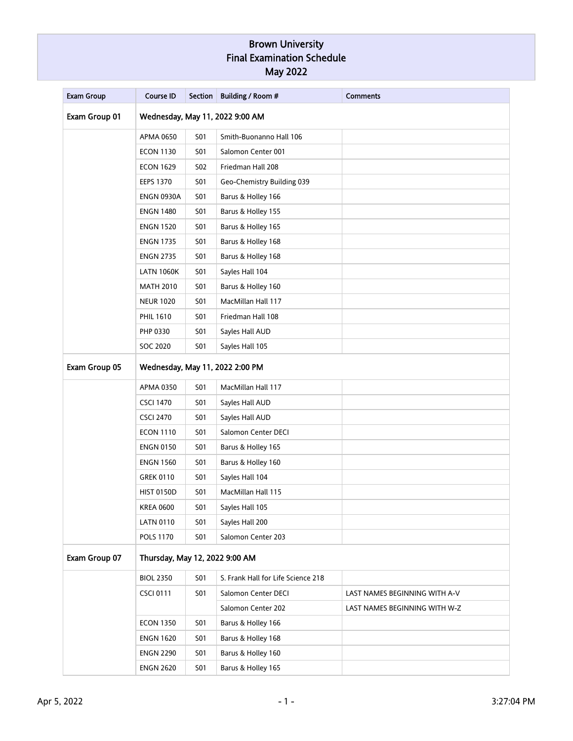| <b>Exam Group</b> | <b>Course ID</b>                | <b>Section</b> | Building / Room #                  | <b>Comments</b>               |  |
|-------------------|---------------------------------|----------------|------------------------------------|-------------------------------|--|
| Exam Group 01     | Wednesday, May 11, 2022 9:00 AM |                |                                    |                               |  |
|                   | <b>APMA 0650</b>                | <b>S01</b>     | Smith-Buonanno Hall 106            |                               |  |
|                   | <b>ECON 1130</b>                | <b>S01</b>     | Salomon Center 001                 |                               |  |
|                   | <b>ECON 1629</b>                | <b>S02</b>     | Friedman Hall 208                  |                               |  |
|                   | <b>EEPS 1370</b>                | <b>S01</b>     | Geo-Chemistry Building 039         |                               |  |
|                   | <b>ENGN 0930A</b>               | <b>S01</b>     | Barus & Holley 166                 |                               |  |
|                   | <b>ENGN 1480</b>                | <b>S01</b>     | Barus & Holley 155                 |                               |  |
|                   | <b>ENGN 1520</b>                | <b>S01</b>     | Barus & Holley 165                 |                               |  |
|                   | <b>ENGN 1735</b>                | <b>S01</b>     | Barus & Holley 168                 |                               |  |
|                   | <b>ENGN 2735</b>                | <b>S01</b>     | Barus & Holley 168                 |                               |  |
|                   | <b>LATN 1060K</b>               | <b>S01</b>     | Sayles Hall 104                    |                               |  |
|                   | <b>MATH 2010</b>                | <b>S01</b>     | Barus & Holley 160                 |                               |  |
|                   | <b>NEUR 1020</b>                | <b>S01</b>     | MacMillan Hall 117                 |                               |  |
|                   | <b>PHIL 1610</b>                | <b>S01</b>     | Friedman Hall 108                  |                               |  |
|                   | PHP 0330                        | <b>S01</b>     | Sayles Hall AUD                    |                               |  |
|                   | SOC 2020                        | <b>S01</b>     | Sayles Hall 105                    |                               |  |
| Exam Group 05     | Wednesday, May 11, 2022 2:00 PM |                |                                    |                               |  |
|                   | APMA 0350                       | <b>S01</b>     | MacMillan Hall 117                 |                               |  |
|                   | <b>CSCI 1470</b>                | <b>S01</b>     | Sayles Hall AUD                    |                               |  |
|                   | <b>CSCI 2470</b>                | <b>S01</b>     | Sayles Hall AUD                    |                               |  |
|                   | <b>ECON 1110</b>                | <b>S01</b>     | Salomon Center DECI                |                               |  |
|                   | <b>ENGN 0150</b>                | <b>S01</b>     | Barus & Holley 165                 |                               |  |
|                   | <b>ENGN 1560</b>                | <b>S01</b>     | Barus & Holley 160                 |                               |  |
|                   | <b>GREK 0110</b>                | <b>S01</b>     | Sayles Hall 104                    |                               |  |
|                   | <b>HIST 0150D</b>               | <b>S01</b>     | MacMillan Hall 115                 |                               |  |
|                   | <b>KREA 0600</b>                | <b>S01</b>     | Sayles Hall 105                    |                               |  |
|                   | <b>LATN 0110</b>                | S01            | Sayles Hall 200                    |                               |  |
|                   | <b>POLS 1170</b>                | <b>S01</b>     | Salomon Center 203                 |                               |  |
| Exam Group 07     | Thursday, May 12, 2022 9:00 AM  |                |                                    |                               |  |
|                   | <b>BIOL 2350</b>                | <b>S01</b>     | S. Frank Hall for Life Science 218 |                               |  |
|                   | <b>CSCI 0111</b>                | <b>S01</b>     | Salomon Center DECI                | LAST NAMES BEGINNING WITH A-V |  |
|                   |                                 |                | Salomon Center 202                 | LAST NAMES BEGINNING WITH W-Z |  |
|                   | <b>ECON 1350</b>                | <b>S01</b>     | Barus & Holley 166                 |                               |  |
|                   | <b>ENGN 1620</b>                | <b>S01</b>     | Barus & Holley 168                 |                               |  |
|                   | <b>ENGN 2290</b>                | <b>S01</b>     | Barus & Holley 160                 |                               |  |
|                   | <b>ENGN 2620</b>                | <b>S01</b>     | Barus & Holley 165                 |                               |  |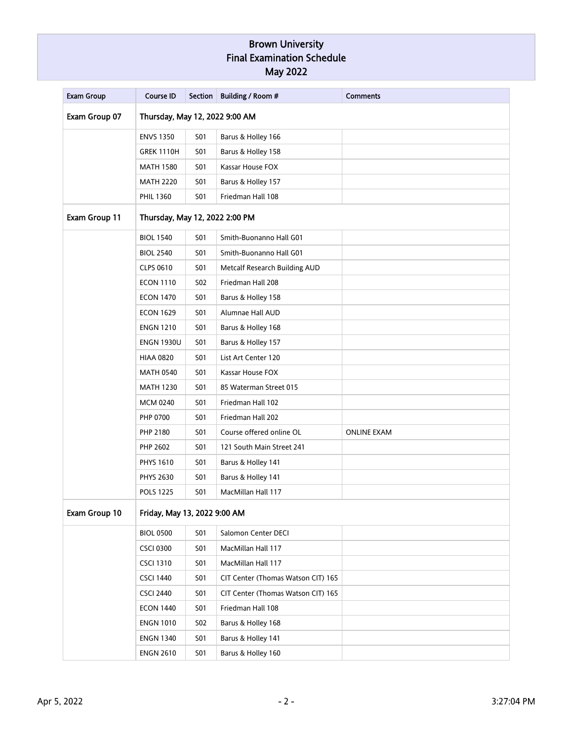| <b>Exam Group</b> | <b>Course ID</b>               | <b>Section</b> | Building / Room #                  | <b>Comments</b>    |  |
|-------------------|--------------------------------|----------------|------------------------------------|--------------------|--|
| Exam Group 07     | Thursday, May 12, 2022 9:00 AM |                |                                    |                    |  |
|                   | <b>ENVS 1350</b>               | <b>S01</b>     | Barus & Holley 166                 |                    |  |
|                   | <b>GREK 1110H</b>              | <b>S01</b>     | Barus & Holley 158                 |                    |  |
|                   | <b>MATH 1580</b>               | <b>S01</b>     | Kassar House FOX                   |                    |  |
|                   | <b>MATH 2220</b>               | <b>S01</b>     | Barus & Holley 157                 |                    |  |
|                   | <b>PHIL 1360</b>               | S01            | Friedman Hall 108                  |                    |  |
| Exam Group 11     | Thursday, May 12, 2022 2:00 PM |                |                                    |                    |  |
|                   | <b>BIOL 1540</b>               | <b>S01</b>     | Smith-Buonanno Hall G01            |                    |  |
|                   | <b>BIOL 2540</b>               | <b>S01</b>     | Smith-Buonanno Hall G01            |                    |  |
|                   | <b>CLPS 0610</b>               | <b>S01</b>     | Metcalf Research Building AUD      |                    |  |
|                   | <b>ECON 1110</b>               | <b>S02</b>     | Friedman Hall 208                  |                    |  |
|                   | <b>ECON 1470</b>               | <b>S01</b>     | Barus & Holley 158                 |                    |  |
|                   | <b>ECON 1629</b>               | <b>S01</b>     | Alumnae Hall AUD                   |                    |  |
|                   | <b>ENGN 1210</b>               | <b>S01</b>     | Barus & Holley 168                 |                    |  |
|                   | <b>ENGN 1930U</b>              | <b>S01</b>     | Barus & Holley 157                 |                    |  |
|                   | <b>HIAA 0820</b>               | <b>S01</b>     | List Art Center 120                |                    |  |
|                   | <b>MATH 0540</b>               | <b>S01</b>     | Kassar House FOX                   |                    |  |
|                   | <b>MATH 1230</b>               | <b>S01</b>     | 85 Waterman Street 015             |                    |  |
|                   | <b>MCM 0240</b>                | <b>S01</b>     | Friedman Hall 102                  |                    |  |
|                   | PHP 0700                       | <b>S01</b>     | Friedman Hall 202                  |                    |  |
|                   | PHP 2180                       | <b>S01</b>     | Course offered online OL           | <b>ONLINE EXAM</b> |  |
|                   | PHP 2602                       | <b>S01</b>     | 121 South Main Street 241          |                    |  |
|                   | <b>PHYS 1610</b>               | <b>S01</b>     | Barus & Holley 141                 |                    |  |
|                   | <b>PHYS 2630</b>               | <b>S01</b>     | Barus & Holley 141                 |                    |  |
|                   | <b>POLS 1225</b>               | <b>S01</b>     | MacMillan Hall 117                 |                    |  |
| Exam Group 10     | Friday, May 13, 2022 9:00 AM   |                |                                    |                    |  |
|                   | <b>BIOL 0500</b>               | <b>S01</b>     | Salomon Center DECI                |                    |  |
|                   | <b>CSCI 0300</b>               | <b>S01</b>     | MacMillan Hall 117                 |                    |  |
|                   | <b>CSCI 1310</b>               | <b>S01</b>     | MacMillan Hall 117                 |                    |  |
|                   | <b>CSCI 1440</b>               | <b>S01</b>     | CIT Center (Thomas Watson CIT) 165 |                    |  |
|                   | <b>CSCI 2440</b>               | <b>S01</b>     | CIT Center (Thomas Watson CIT) 165 |                    |  |
|                   | <b>ECON 1440</b>               | <b>S01</b>     | Friedman Hall 108                  |                    |  |
|                   | <b>ENGN 1010</b>               | <b>S02</b>     | Barus & Holley 168                 |                    |  |
|                   | <b>ENGN 1340</b>               | <b>S01</b>     | Barus & Holley 141                 |                    |  |
|                   | <b>ENGN 2610</b>               | <b>S01</b>     | Barus & Holley 160                 |                    |  |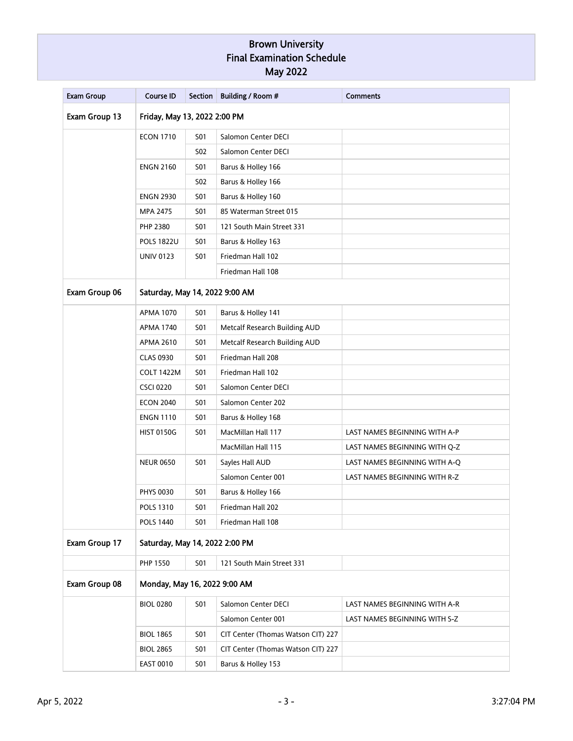| <b>Exam Group</b> | <b>Course ID</b>               | <b>Section</b> | Building / Room #                  | <b>Comments</b>               |  |
|-------------------|--------------------------------|----------------|------------------------------------|-------------------------------|--|
| Exam Group 13     | Friday, May 13, 2022 2:00 PM   |                |                                    |                               |  |
|                   | <b>ECON 1710</b>               | <b>S01</b>     | Salomon Center DECI                |                               |  |
|                   |                                | S02            | Salomon Center DECI                |                               |  |
|                   | <b>ENGN 2160</b>               | <b>S01</b>     | Barus & Holley 166                 |                               |  |
|                   |                                | <b>S02</b>     | Barus & Holley 166                 |                               |  |
|                   | <b>ENGN 2930</b>               | S01            | Barus & Holley 160                 |                               |  |
|                   | MPA 2475                       | <b>S01</b>     | 85 Waterman Street 015             |                               |  |
|                   | PHP 2380                       | S01            | 121 South Main Street 331          |                               |  |
|                   | <b>POLS 1822U</b>              | S01            | Barus & Holley 163                 |                               |  |
|                   | <b>UNIV 0123</b>               | S01            | Friedman Hall 102                  |                               |  |
|                   |                                |                | Friedman Hall 108                  |                               |  |
| Exam Group 06     | Saturday, May 14, 2022 9:00 AM |                |                                    |                               |  |
|                   | <b>APMA 1070</b>               | <b>S01</b>     | Barus & Holley 141                 |                               |  |
|                   | <b>APMA 1740</b>               | <b>S01</b>     | Metcalf Research Building AUD      |                               |  |
|                   | APMA 2610                      | S01            | Metcalf Research Building AUD      |                               |  |
|                   | <b>CLAS 0930</b>               | <b>S01</b>     | Friedman Hall 208                  |                               |  |
|                   | <b>COLT 1422M</b>              | S01            | Friedman Hall 102                  |                               |  |
|                   | <b>CSCI 0220</b>               | S01            | Salomon Center DECI                |                               |  |
|                   | <b>ECON 2040</b>               | S01            | Salomon Center 202                 |                               |  |
|                   | <b>ENGN 1110</b>               | S01            | Barus & Holley 168                 |                               |  |
|                   | <b>HIST 0150G</b>              | S01            | MacMillan Hall 117                 | LAST NAMES BEGINNING WITH A-P |  |
|                   |                                |                | MacMillan Hall 115                 | LAST NAMES BEGINNING WITH Q-Z |  |
|                   | <b>NEUR 0650</b>               | <b>S01</b>     | Sayles Hall AUD                    | LAST NAMES BEGINNING WITH A-Q |  |
|                   |                                |                | Salomon Center 001                 | LAST NAMES BEGINNING WITH R-Z |  |
|                   | <b>PHYS 0030</b>               | S01            | Barus & Holley 166                 |                               |  |
|                   | POLS 1310                      | <b>S01</b>     | Friedman Hall 202                  |                               |  |
|                   | <b>POLS 1440</b>               | S01            | Friedman Hall 108                  |                               |  |
| Exam Group 17     | Saturday, May 14, 2022 2:00 PM |                |                                    |                               |  |
|                   | PHP 1550                       | <b>S01</b>     | 121 South Main Street 331          |                               |  |
| Exam Group 08     | Monday, May 16, 2022 9:00 AM   |                |                                    |                               |  |
|                   | <b>BIOL 0280</b>               | <b>S01</b>     | Salomon Center DECI                | LAST NAMES BEGINNING WITH A-R |  |
|                   |                                |                | Salomon Center 001                 | LAST NAMES BEGINNING WITH S-Z |  |
|                   | <b>BIOL 1865</b>               | S01            | CIT Center (Thomas Watson CIT) 227 |                               |  |
|                   | <b>BIOL 2865</b>               | <b>S01</b>     | CIT Center (Thomas Watson CIT) 227 |                               |  |
|                   | <b>EAST 0010</b>               | <b>S01</b>     | Barus & Holley 153                 |                               |  |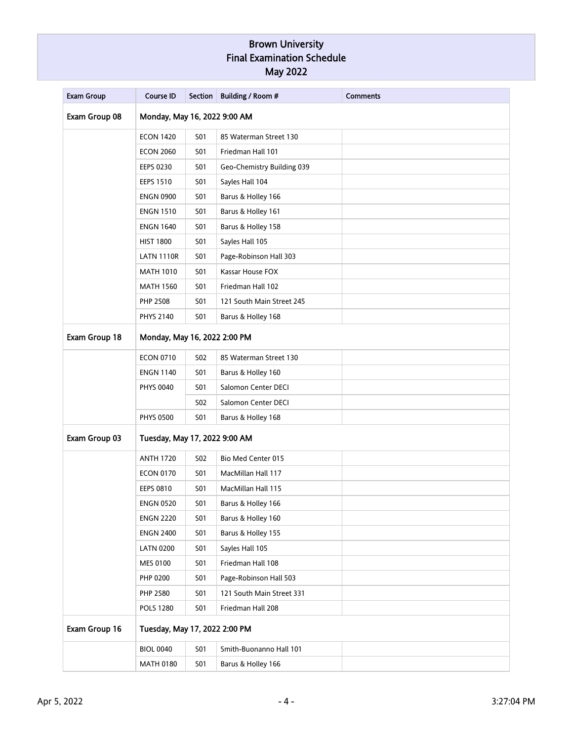| <b>Exam Group</b> | <b>Course ID</b>              | <b>Section</b> | Building / Room #          | <b>Comments</b> |  |
|-------------------|-------------------------------|----------------|----------------------------|-----------------|--|
| Exam Group 08     | Monday, May 16, 2022 9:00 AM  |                |                            |                 |  |
|                   | <b>ECON 1420</b>              | <b>S01</b>     | 85 Waterman Street 130     |                 |  |
|                   | <b>ECON 2060</b>              | <b>S01</b>     | Friedman Hall 101          |                 |  |
|                   | <b>EEPS 0230</b>              | <b>S01</b>     | Geo-Chemistry Building 039 |                 |  |
|                   | <b>EEPS 1510</b>              | <b>S01</b>     | Sayles Hall 104            |                 |  |
|                   | <b>ENGN 0900</b>              | <b>S01</b>     | Barus & Holley 166         |                 |  |
|                   | <b>ENGN 1510</b>              | <b>S01</b>     | Barus & Holley 161         |                 |  |
|                   | <b>ENGN 1640</b>              | S01            | Barus & Holley 158         |                 |  |
|                   | <b>HIST 1800</b>              | <b>S01</b>     | Sayles Hall 105            |                 |  |
|                   | <b>LATN 1110R</b>             | <b>S01</b>     | Page-Robinson Hall 303     |                 |  |
|                   | <b>MATH 1010</b>              | <b>S01</b>     | Kassar House FOX           |                 |  |
|                   | <b>MATH 1560</b>              | <b>S01</b>     | Friedman Hall 102          |                 |  |
|                   | <b>PHP 2508</b>               | S01            | 121 South Main Street 245  |                 |  |
|                   | <b>PHYS 2140</b>              | S01            | Barus & Holley 168         |                 |  |
| Exam Group 18     | Monday, May 16, 2022 2:00 PM  |                |                            |                 |  |
|                   | <b>ECON 0710</b>              | <b>S02</b>     | 85 Waterman Street 130     |                 |  |
|                   | <b>ENGN 1140</b>              | S01            | Barus & Holley 160         |                 |  |
|                   | <b>PHYS 0040</b>              | <b>S01</b>     | Salomon Center DECI        |                 |  |
|                   |                               | <b>S02</b>     | Salomon Center DECI        |                 |  |
|                   | <b>PHYS 0500</b>              | <b>S01</b>     | Barus & Holley 168         |                 |  |
| Exam Group 03     | Tuesday, May 17, 2022 9:00 AM |                |                            |                 |  |
|                   | <b>ANTH 1720</b>              | <b>S02</b>     | Bio Med Center 015         |                 |  |
|                   | <b>ECON 0170</b>              | S01            | MacMillan Hall 117         |                 |  |
|                   | <b>EEPS 0810</b>              | S01            | MacMillan Hall 115         |                 |  |
|                   | <b>ENGN 0520</b>              | <b>S01</b>     | Barus & Holley 166         |                 |  |
|                   | <b>ENGN 2220</b>              | <b>S01</b>     | Barus & Holley 160         |                 |  |
|                   | <b>ENGN 2400</b>              | <b>S01</b>     | Barus & Holley 155         |                 |  |
|                   | <b>LATN 0200</b>              | <b>S01</b>     | Sayles Hall 105            |                 |  |
|                   | MES 0100                      | <b>S01</b>     | Friedman Hall 108          |                 |  |
|                   | PHP 0200                      | <b>S01</b>     | Page-Robinson Hall 503     |                 |  |
|                   | PHP 2580                      | <b>S01</b>     | 121 South Main Street 331  |                 |  |
|                   | <b>POLS 1280</b>              | <b>S01</b>     | Friedman Hall 208          |                 |  |
| Exam Group 16     | Tuesday, May 17, 2022 2:00 PM |                |                            |                 |  |
|                   | <b>BIOL 0040</b>              | <b>S01</b>     | Smith-Buonanno Hall 101    |                 |  |
|                   | <b>MATH 0180</b>              | <b>S01</b>     | Barus & Holley 166         |                 |  |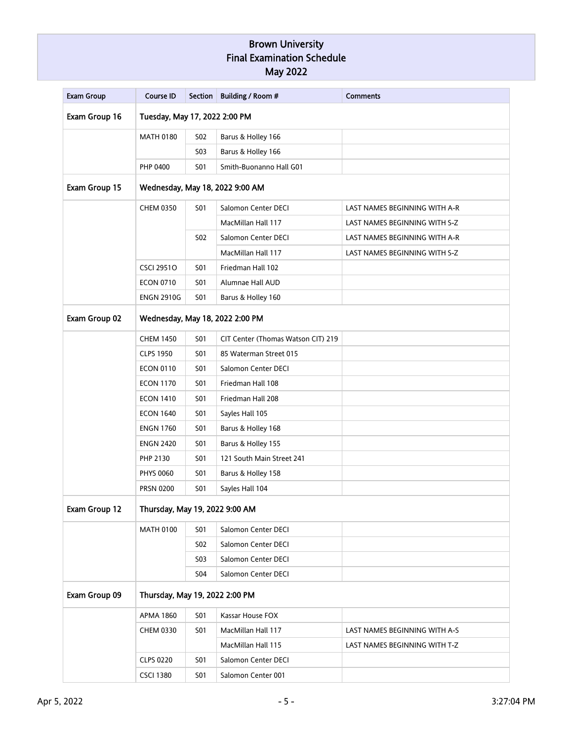| <b>Exam Group</b> | <b>Course ID</b>                | <b>Section</b>                  | Building / Room #                  | <b>Comments</b>               |  |  |  |
|-------------------|---------------------------------|---------------------------------|------------------------------------|-------------------------------|--|--|--|
| Exam Group 16     | Tuesday, May 17, 2022 2:00 PM   |                                 |                                    |                               |  |  |  |
|                   | <b>MATH 0180</b>                | <b>S02</b>                      | Barus & Holley 166                 |                               |  |  |  |
|                   |                                 | S03                             | Barus & Holley 166                 |                               |  |  |  |
|                   | PHP 0400                        | <b>S01</b>                      | Smith-Buonanno Hall G01            |                               |  |  |  |
| Exam Group 15     |                                 | Wednesday, May 18, 2022 9:00 AM |                                    |                               |  |  |  |
|                   | <b>CHEM 0350</b>                | S01                             | Salomon Center DECI                | LAST NAMES BEGINNING WITH A-R |  |  |  |
|                   |                                 |                                 | MacMillan Hall 117                 | LAST NAMES BEGINNING WITH S-Z |  |  |  |
|                   |                                 | <b>S02</b>                      | Salomon Center DECI                | LAST NAMES BEGINNING WITH A-R |  |  |  |
|                   |                                 |                                 | MacMillan Hall 117                 | LAST NAMES BEGINNING WITH S-Z |  |  |  |
|                   | <b>CSCI 29510</b>               | <b>S01</b>                      | Friedman Hall 102                  |                               |  |  |  |
|                   | <b>ECON 0710</b>                | <b>S01</b>                      | Alumnae Hall AUD                   |                               |  |  |  |
|                   | <b>ENGN 2910G</b>               | S01                             | Barus & Holley 160                 |                               |  |  |  |
| Exam Group 02     | Wednesday, May 18, 2022 2:00 PM |                                 |                                    |                               |  |  |  |
|                   | <b>CHEM 1450</b>                | <b>S01</b>                      | CIT Center (Thomas Watson CIT) 219 |                               |  |  |  |
|                   | <b>CLPS 1950</b>                | <b>S01</b>                      | 85 Waterman Street 015             |                               |  |  |  |
|                   | <b>ECON 0110</b>                | <b>S01</b>                      | Salomon Center DECI                |                               |  |  |  |
|                   | <b>ECON 1170</b>                | S01                             | Friedman Hall 108                  |                               |  |  |  |
|                   | <b>ECON 1410</b>                | S01                             | Friedman Hall 208                  |                               |  |  |  |
|                   | <b>ECON 1640</b>                | <b>S01</b>                      | Sayles Hall 105                    |                               |  |  |  |
|                   | <b>ENGN 1760</b>                | S01                             | Barus & Holley 168                 |                               |  |  |  |
|                   | <b>ENGN 2420</b>                | <b>S01</b>                      | Barus & Holley 155                 |                               |  |  |  |
|                   | PHP 2130                        | S01                             | 121 South Main Street 241          |                               |  |  |  |
|                   | <b>PHYS 0060</b>                | S01                             | Barus & Holley 158                 |                               |  |  |  |
|                   | <b>PRSN 0200</b>                | S01                             | Sayles Hall 104                    |                               |  |  |  |
| Exam Group 12     | Thursday, May 19, 2022 9:00 AM  |                                 |                                    |                               |  |  |  |
|                   | <b>MATH 0100</b>                | <b>S01</b>                      | Salomon Center DECI                |                               |  |  |  |
|                   | <b>S02</b>                      | Salomon Center DECI             |                                    |                               |  |  |  |
|                   |                                 | S03                             | Salomon Center DECI                |                               |  |  |  |
|                   |                                 | <b>S04</b>                      | Salomon Center DECI                |                               |  |  |  |
| Exam Group 09     | Thursday, May 19, 2022 2:00 PM  |                                 |                                    |                               |  |  |  |
|                   | <b>APMA 1860</b>                | <b>S01</b>                      | Kassar House FOX                   |                               |  |  |  |
|                   | CHEM 0330                       | <b>S01</b>                      | MacMillan Hall 117                 | LAST NAMES BEGINNING WITH A-S |  |  |  |
|                   |                                 |                                 | MacMillan Hall 115                 | LAST NAMES BEGINNING WITH T-Z |  |  |  |
|                   | <b>CLPS 0220</b>                | <b>S01</b>                      | Salomon Center DECI                |                               |  |  |  |
|                   | <b>CSCI 1380</b>                | <b>S01</b>                      | Salomon Center 001                 |                               |  |  |  |